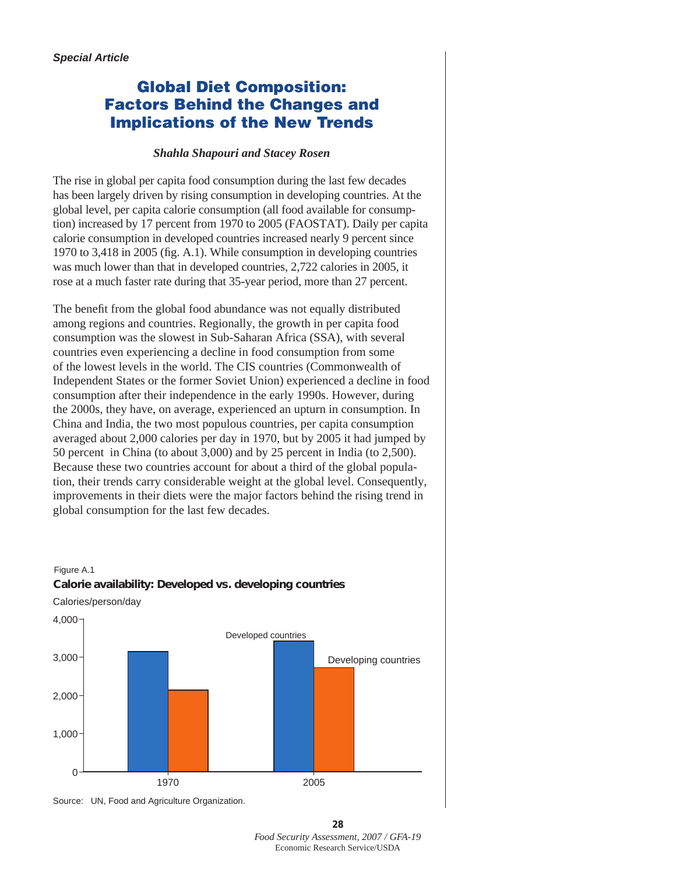# Global Diet Composition: Factors Behind the Changes and Implications of the New Trends

#### *Shahla Shapouri and Stacey Rosen*

The rise in global per capita food consumption during the last few decades has been largely driven by rising consumption in developing countries. At the global level, per capita calorie consumption (all food available for consumption) increased by 17 percent from 1970 to 2005 (FAOSTAT). Daily per capita calorie consumption in developed countries increased nearly 9 percent since 1970 to 3,418 in 2005 (fig. A.1). While consumption in developing countries was much lower than that in developed countries, 2,722 calories in 2005, it rose at a much faster rate during that 35-year period, more than 27 percent.

The benefit from the global food abundance was not equally distributed among regions and countries. Regionally, the growth in per capita food consumption was the slowest in Sub-Saharan Africa (SSA), with several countries even experiencing a decline in food consumption from some of the lowest levels in the world. The CIS countries (Commonwealth of Independent States or the former Soviet Union) experienced a decline in food consumption after their independence in the early 1990s. However, during the 2000s, they have, on average, experienced an upturn in consumption. In China and India, the two most populous countries, per capita consumption averaged about 2,000 calories per day in 1970, but by 2005 it had jumped by 50 percent in China (to about 3,000) and by 25 percent in India (to 2,500). Because these two countries account for about a third of the global population, their trends carry considerable weight at the global level. Consequently, improvements in their diets were the major factors behind the rising trend in global consumption for the last few decades.









**28** *Food Security Assessment, 2007 / GFA-19*  Economic Research Service/USDA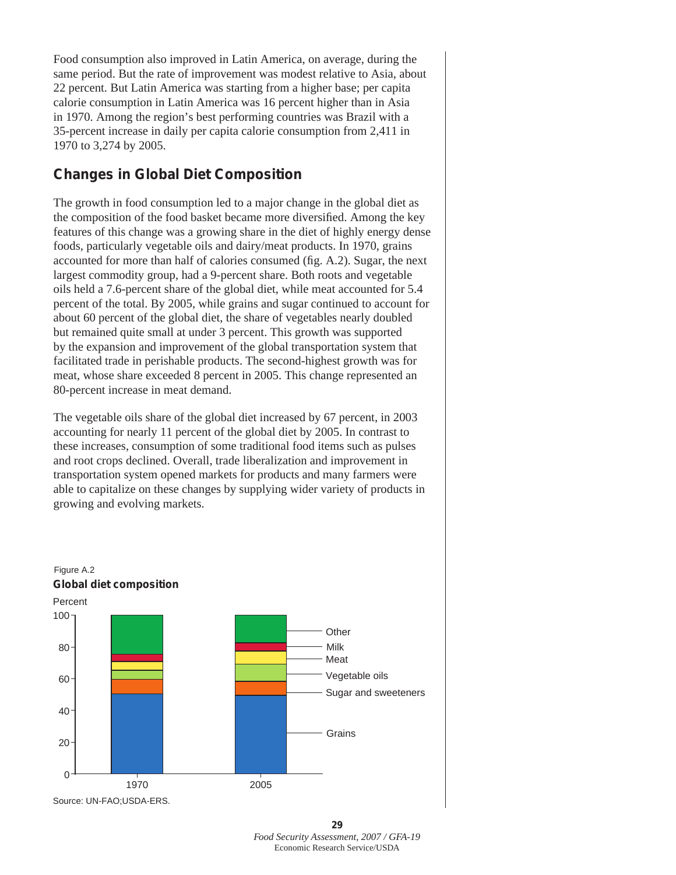Food consumption also improved in Latin America, on average, during the same period. But the rate of improvement was modest relative to Asia, about 22 percent. But Latin America was starting from a higher base; per capita calorie consumption in Latin America was 16 percent higher than in Asia in 1970. Among the region's best performing countries was Brazil with a 35-percent increase in daily per capita calorie consumption from 2,411 in 1970 to 3,274 by 2005.

## **Changes in Global Diet Composition**

The growth in food consumption led to a major change in the global diet as the composition of the food basket became more diversified. Among the key features of this change was a growing share in the diet of highly energy dense foods, particularly vegetable oils and dairy/meat products. In 1970, grains accounted for more than half of calories consumed (fig. A.2). Sugar, the next largest commodity group, had a 9-percent share. Both roots and vegetable oils held a 7.6-percent share of the global diet, while meat accounted for 5.4 percent of the total. By 2005, while grains and sugar continued to account for about 60 percent of the global diet, the share of vegetables nearly doubled but remained quite small at under 3 percent. This growth was supported by the expansion and improvement of the global transportation system that facilitated trade in perishable products. The second-highest growth was for meat, whose share exceeded 8 percent in 2005. This change represented an 80-percent increase in meat demand.

The vegetable oils share of the global diet increased by 67 percent, in 2003 accounting for nearly 11 percent of the global diet by 2005. In contrast to these increases, consumption of some traditional food items such as pulses and root crops declined. Overall, trade liberalization and improvement in transportation system opened markets for products and many farmers were able to capitalize on these changes by supplying wider variety of products in growing and evolving markets.



**<sup>29</sup>** *Food Security Assessment, 2007 / GFA-19*  Economic Research Service/USDA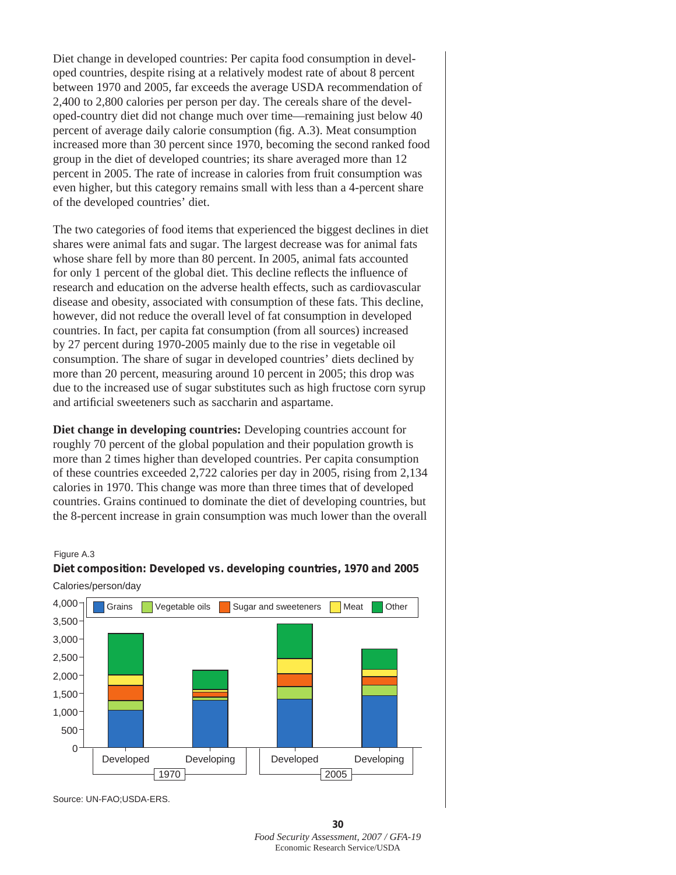Diet change in developed countries: Per capita food consumption in developed countries, despite rising at a relatively modest rate of about 8 percent between 1970 and 2005, far exceeds the average USDA recommendation of 2,400 to 2,800 calories per person per day. The cereals share of the developed-country diet did not change much over time—remaining just below 40 percent of average daily calorie consumption (fig. A.3). Meat consumption increased more than 30 percent since 1970, becoming the second ranked food group in the diet of developed countries; its share averaged more than 12 percent in 2005. The rate of increase in calories from fruit consumption was even higher, but this category remains small with less than a 4-percent share of the developed countries' diet.

The two categories of food items that experienced the biggest declines in diet shares were animal fats and sugar. The largest decrease was for animal fats whose share fell by more than 80 percent. In 2005, animal fats accounted for only 1 percent of the global diet. This decline reflects the influence of research and education on the adverse health effects, such as cardiovascular disease and obesity, associated with consumption of these fats. This decline, however, did not reduce the overall level of fat consumption in developed countries. In fact, per capita fat consumption (from all sources) increased by 27 percent during 1970-2005 mainly due to the rise in vegetable oil consumption. The share of sugar in developed countries' diets declined by more than 20 percent, measuring around 10 percent in 2005; this drop was due to the increased use of sugar substitutes such as high fructose corn syrup and artificial sweeteners such as saccharin and aspartame.

**Diet change in developing countries:** Developing countries account for roughly 70 percent of the global population and their population growth is more than 2 times higher than developed countries. Per capita consumption of these countries exceeded 2,722 calories per day in 2005, rising from 2,134 calories in 1970. This change was more than three times that of developed countries. Grains continued to dominate the diet of developing countries, but the 8-percent increase in grain consumption was much lower than the overall

#### Figure A.3





Source: UN-FAO;USDA-ERS.

**<sup>30</sup>** *Food Security Assessment, 2007 / GFA-19*  Economic Research Service/USDA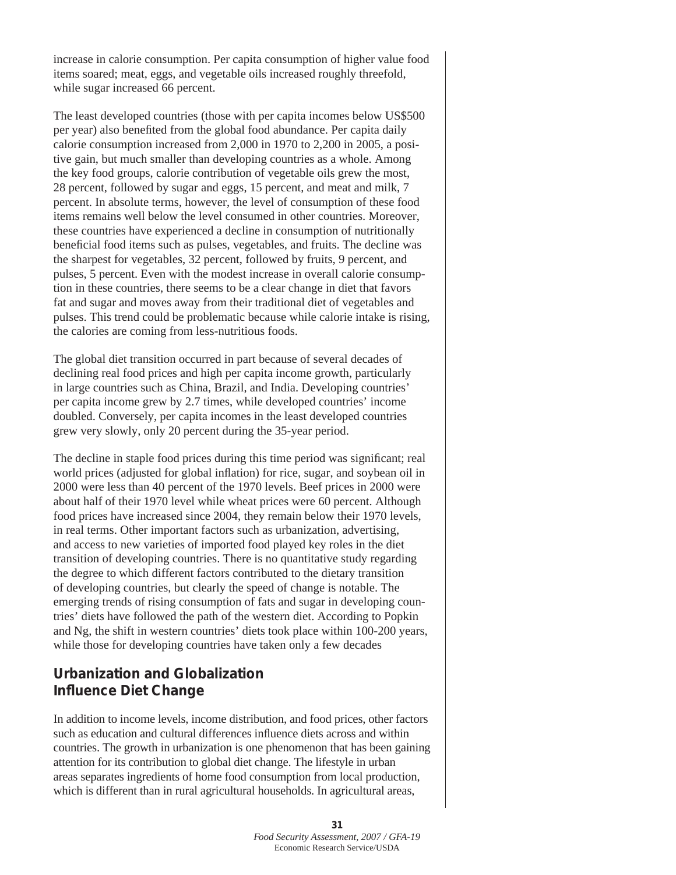increase in calorie consumption. Per capita consumption of higher value food items soared; meat, eggs, and vegetable oils increased roughly threefold, while sugar increased 66 percent.

The least developed countries (those with per capita incomes below US\$500 per year) also benefited from the global food abundance. Per capita daily calorie consumption increased from 2,000 in 1970 to 2,200 in 2005, a positive gain, but much smaller than developing countries as a whole. Among the key food groups, calorie contribution of vegetable oils grew the most, 28 percent, followed by sugar and eggs, 15 percent, and meat and milk, 7 percent. In absolute terms, however, the level of consumption of these food items remains well below the level consumed in other countries. Moreover, these countries have experienced a decline in consumption of nutritionally beneficial food items such as pulses, vegetables, and fruits. The decline was the sharpest for vegetables, 32 percent, followed by fruits, 9 percent, and pulses, 5 percent. Even with the modest increase in overall calorie consumption in these countries, there seems to be a clear change in diet that favors fat and sugar and moves away from their traditional diet of vegetables and pulses. This trend could be problematic because while calorie intake is rising, the calories are coming from less-nutritious foods.

The global diet transition occurred in part because of several decades of declining real food prices and high per capita income growth, particularly in large countries such as China, Brazil, and India. Developing countries' per capita income grew by 2.7 times, while developed countries' income doubled. Conversely, per capita incomes in the least developed countries grew very slowly, only 20 percent during the 35-year period.

The decline in staple food prices during this time period was significant; real world prices (adjusted for global inflation) for rice, sugar, and soybean oil in 2000 were less than 40 percent of the 1970 levels. Beef prices in 2000 were about half of their 1970 level while wheat prices were 60 percent. Although food prices have increased since 2004, they remain below their 1970 levels, in real terms. Other important factors such as urbanization, advertising, and access to new varieties of imported food played key roles in the diet transition of developing countries. There is no quantitative study regarding the degree to which different factors contributed to the dietary transition of developing countries, but clearly the speed of change is notable. The emerging trends of rising consumption of fats and sugar in developing countries' diets have followed the path of the western diet. According to Popkin and Ng, the shift in western countries' diets took place within 100-200 years, while those for developing countries have taken only a few decades

## **Urbanization and Globalization Influence Diet Change**

In addition to income levels, income distribution, and food prices, other factors such as education and cultural differences influence diets across and within countries. The growth in urbanization is one phenomenon that has been gaining attention for its contribution to global diet change. The lifestyle in urban areas separates ingredients of home food consumption from local production, which is different than in rural agricultural households. In agricultural areas,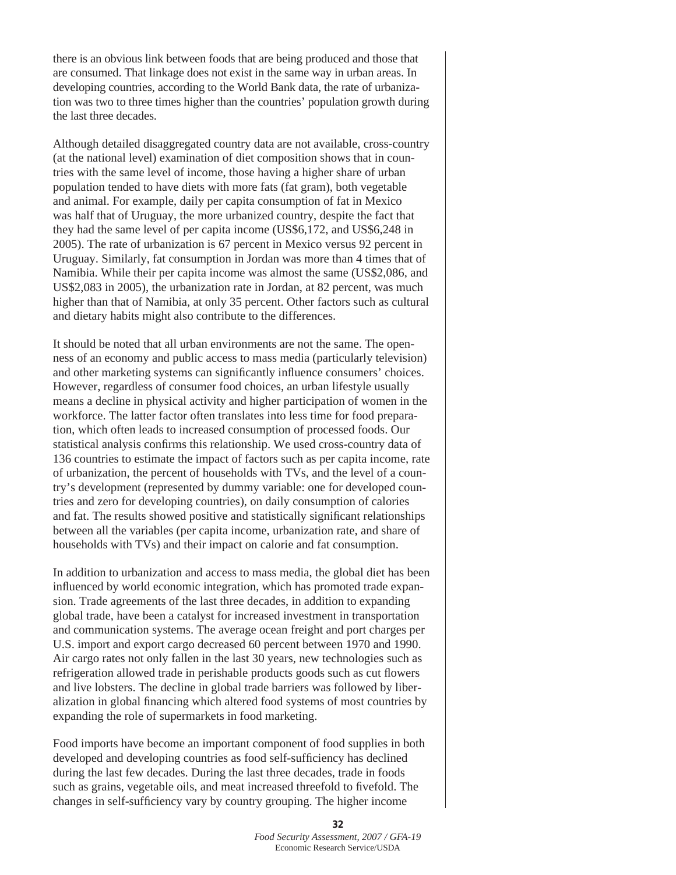there is an obvious link between foods that are being produced and those that are consumed. That linkage does not exist in the same way in urban areas. In developing countries, according to the World Bank data, the rate of urbanization was two to three times higher than the countries' population growth during the last three decades.

Although detailed disaggregated country data are not available, cross-country (at the national level) examination of diet composition shows that in countries with the same level of income, those having a higher share of urban population tended to have diets with more fats (fat gram), both vegetable and animal. For example, daily per capita consumption of fat in Mexico was half that of Uruguay, the more urbanized country, despite the fact that they had the same level of per capita income (US\$6,172, and US\$6,248 in 2005). The rate of urbanization is 67 percent in Mexico versus 92 percent in Uruguay. Similarly, fat consumption in Jordan was more than 4 times that of Namibia. While their per capita income was almost the same (US\$2,086, and US\$2,083 in 2005), the urbanization rate in Jordan, at 82 percent, was much higher than that of Namibia, at only 35 percent. Other factors such as cultural and dietary habits might also contribute to the differences.

It should be noted that all urban environments are not the same. The openness of an economy and public access to mass media (particularly television) and other marketing systems can significantly influence consumers' choices. However, regardless of consumer food choices, an urban lifestyle usually means a decline in physical activity and higher participation of women in the workforce. The latter factor often translates into less time for food preparation, which often leads to increased consumption of processed foods. Our statistical analysis confirms this relationship. We used cross-country data of 136 countries to estimate the impact of factors such as per capita income, rate of urbanization, the percent of households with TVs, and the level of a country's development (represented by dummy variable: one for developed countries and zero for developing countries), on daily consumption of calories and fat. The results showed positive and statistically significant relationships between all the variables (per capita income, urbanization rate, and share of households with TVs) and their impact on calorie and fat consumption.

In addition to urbanization and access to mass media, the global diet has been influenced by world economic integration, which has promoted trade expansion. Trade agreements of the last three decades, in addition to expanding global trade, have been a catalyst for increased investment in transportation and communication systems. The average ocean freight and port charges per U.S. import and export cargo decreased 60 percent between 1970 and 1990. Air cargo rates not only fallen in the last 30 years, new technologies such as refrigeration allowed trade in perishable products goods such as cut flowers and live lobsters. The decline in global trade barriers was followed by liberalization in global financing which altered food systems of most countries by expanding the role of supermarkets in food marketing.

Food imports have become an important component of food supplies in both developed and developing countries as food self-sufficiency has declined during the last few decades. During the last three decades, trade in foods such as grains, vegetable oils, and meat increased threefold to fivefold. The changes in self-sufficiency vary by country grouping. The higher income

> **32** *Food Security Assessment, 2007 / GFA-19*  Economic Research Service/USDA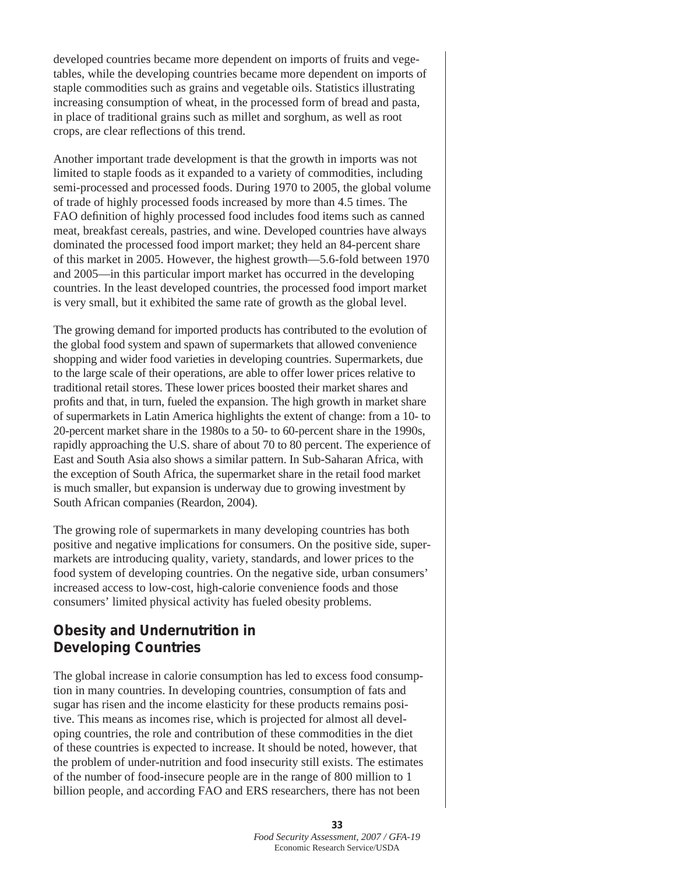developed countries became more dependent on imports of fruits and vegetables, while the developing countries became more dependent on imports of staple commodities such as grains and vegetable oils. Statistics illustrating increasing consumption of wheat, in the processed form of bread and pasta, in place of traditional grains such as millet and sorghum, as well as root crops, are clear reflections of this trend.

Another important trade development is that the growth in imports was not limited to staple foods as it expanded to a variety of commodities, including semi-processed and processed foods. During 1970 to 2005, the global volume of trade of highly processed foods increased by more than 4.5 times. The FAO definition of highly processed food includes food items such as canned meat, breakfast cereals, pastries, and wine. Developed countries have always dominated the processed food import market; they held an 84-percent share of this market in 2005. However, the highest growth—5.6-fold between 1970 and 2005—in this particular import market has occurred in the developing countries. In the least developed countries, the processed food import market is very small, but it exhibited the same rate of growth as the global level.

The growing demand for imported products has contributed to the evolution of the global food system and spawn of supermarkets that allowed convenience shopping and wider food varieties in developing countries. Supermarkets, due to the large scale of their operations, are able to offer lower prices relative to traditional retail stores. These lower prices boosted their market shares and profits and that, in turn, fueled the expansion. The high growth in market share of supermarkets in Latin America highlights the extent of change: from a 10- to 20-percent market share in the 1980s to a 50- to 60-percent share in the 1990s, rapidly approaching the U.S. share of about 70 to 80 percent. The experience of East and South Asia also shows a similar pattern. In Sub-Saharan Africa, with the exception of South Africa, the supermarket share in the retail food market is much smaller, but expansion is underway due to growing investment by South African companies (Reardon, 2004).

The growing role of supermarkets in many developing countries has both positive and negative implications for consumers. On the positive side, supermarkets are introducing quality, variety, standards, and lower prices to the food system of developing countries. On the negative side, urban consumers' increased access to low-cost, high-calorie convenience foods and those consumers' limited physical activity has fueled obesity problems.

## **Obesity and Undernutrition in Developing Countries**

The global increase in calorie consumption has led to excess food consumption in many countries. In developing countries, consumption of fats and sugar has risen and the income elasticity for these products remains positive. This means as incomes rise, which is projected for almost all developing countries, the role and contribution of these commodities in the diet of these countries is expected to increase. It should be noted, however, that the problem of under-nutrition and food insecurity still exists. The estimates of the number of food-insecure people are in the range of 800 million to 1 billion people, and according FAO and ERS researchers, there has not been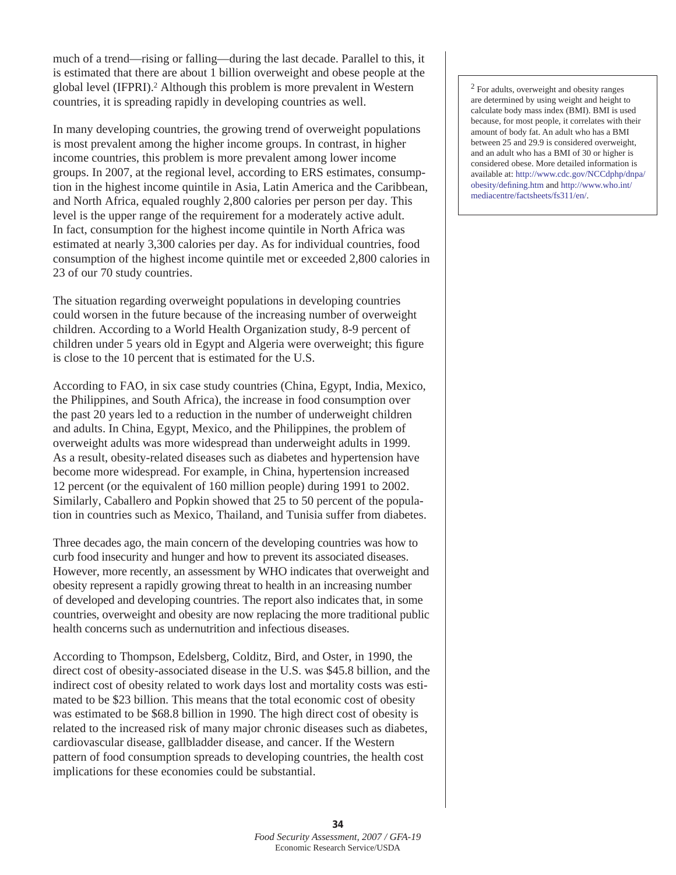much of a trend—rising or falling—during the last decade. Parallel to this, it is estimated that there are about 1 billion overweight and obese people at the global level (IFPRI).2 Although this problem is more prevalent in Western countries, it is spreading rapidly in developing countries as well.

In many developing countries, the growing trend of overweight populations is most prevalent among the higher income groups. In contrast, in higher income countries, this problem is more prevalent among lower income groups. In 2007, at the regional level, according to ERS estimates, consumption in the highest income quintile in Asia, Latin America and the Caribbean, and North Africa, equaled roughly 2,800 calories per person per day. This level is the upper range of the requirement for a moderately active adult. In fact, consumption for the highest income quintile in North Africa was estimated at nearly 3,300 calories per day. As for individual countries, food consumption of the highest income quintile met or exceeded 2,800 calories in 23 of our 70 study countries.

The situation regarding overweight populations in developing countries could worsen in the future because of the increasing number of overweight children. According to a World Health Organization study, 8-9 percent of children under 5 years old in Egypt and Algeria were overweight; this figure is close to the 10 percent that is estimated for the U.S.

According to FAO, in six case study countries (China, Egypt, India, Mexico, the Philippines, and South Africa), the increase in food consumption over the past 20 years led to a reduction in the number of underweight children and adults. In China, Egypt, Mexico, and the Philippines, the problem of overweight adults was more widespread than underweight adults in 1999. As a result, obesity-related diseases such as diabetes and hypertension have become more widespread. For example, in China, hypertension increased 12 percent (or the equivalent of 160 million people) during 1991 to 2002. Similarly, Caballero and Popkin showed that 25 to 50 percent of the population in countries such as Mexico, Thailand, and Tunisia suffer from diabetes.

Three decades ago, the main concern of the developing countries was how to curb food insecurity and hunger and how to prevent its associated diseases. However, more recently, an assessment by WHO indicates that overweight and obesity represent a rapidly growing threat to health in an increasing number of developed and developing countries. The report also indicates that, in some countries, overweight and obesity are now replacing the more traditional public health concerns such as undernutrition and infectious diseases.

According to Thompson, Edelsberg, Colditz, Bird, and Oster, in 1990, the direct cost of obesity-associated disease in the U.S. was \$45.8 billion, and the indirect cost of obesity related to work days lost and mortality costs was estimated to be \$23 billion. This means that the total economic cost of obesity was estimated to be \$68.8 billion in 1990. The high direct cost of obesity is related to the increased risk of many major chronic diseases such as diabetes, cardiovascular disease, gallbladder disease, and cancer. If the Western pattern of food consumption spreads to developing countries, the health cost implications for these economies could be substantial.

2 For adults, overweight and obesity ranges are determined by using weight and height to calculate body mass index (BMI). BMI is used because, for most people, it correlates with their amount of body fat. An adult who has a BMI between 25 and 29.9 is considered overweight, and an adult who has a BMI of 30 or higher is considered obese. More detailed information is available at: [http://www.cdc.gov/NCCdphp/dnpa/](http://www.cdc.gov/NCCdphp/dnpa/obesity/defining.htm) [obesity/defining.htm](http://www.cdc.gov/NCCdphp/dnpa/obesity/defining.htm) and [http://www.who.int/](http://www.who.int/mediacentre/factsheets/fs311/en/) [mediacentre/factsheets/fs311/en/.](http://www.who.int/mediacentre/factsheets/fs311/en/)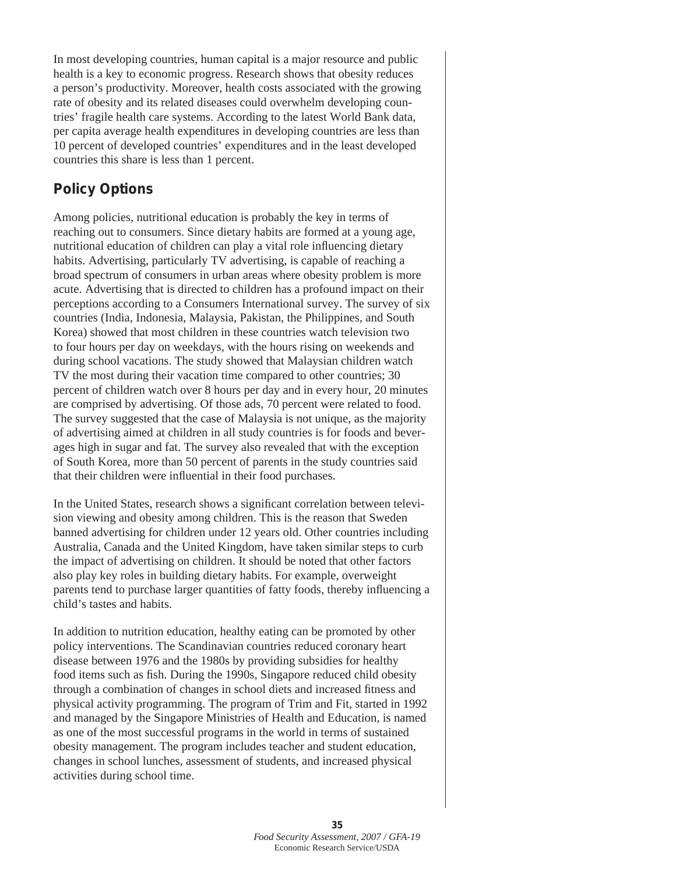In most developing countries, human capital is a major resource and public health is a key to economic progress. Research shows that obesity reduces a person's productivity. Moreover, health costs associated with the growing rate of obesity and its related diseases could overwhelm developing countries' fragile health care systems. According to the latest World Bank data, per capita average health expenditures in developing countries are less than 10 percent of developed countries' expenditures and in the least developed countries this share is less than 1 percent.

#### **Policy Options**

Among policies, nutritional education is probably the key in terms of reaching out to consumers. Since dietary habits are formed at a young age, nutritional education of children can play a vital role influencing dietary habits. Advertising, particularly TV advertising, is capable of reaching a broad spectrum of consumers in urban areas where obesity problem is more acute. Advertising that is directed to children has a profound impact on their perceptions according to a Consumers International survey. The survey of six countries (India, Indonesia, Malaysia, Pakistan, the Philippines, and South Korea) showed that most children in these countries watch television two to four hours per day on weekdays, with the hours rising on weekends and during school vacations. The study showed that Malaysian children watch TV the most during their vacation time compared to other countries; 30 percent of children watch over 8 hours per day and in every hour, 20 minutes are comprised by advertising. Of those ads, 70 percent were related to food. The survey suggested that the case of Malaysia is not unique, as the majority of advertising aimed at children in all study countries is for foods and beverages high in sugar and fat. The survey also revealed that with the exception of South Korea, more than 50 percent of parents in the study countries said that their children were influential in their food purchases.

In the United States, research shows a significant correlation between television viewing and obesity among children. This is the reason that Sweden banned advertising for children under 12 years old. Other countries including Australia, Canada and the United Kingdom, have taken similar steps to curb the impact of advertising on children. It should be noted that other factors also play key roles in building dietary habits. For example, overweight parents tend to purchase larger quantities of fatty foods, thereby influencing a child's tastes and habits.

In addition to nutrition education, healthy eating can be promoted by other policy interventions. The Scandinavian countries reduced coronary heart disease between 1976 and the 1980s by providing subsidies for healthy food items such as fish. During the 1990s, Singapore reduced child obesity through a combination of changes in school diets and increased fitness and physical activity programming. The program of Trim and Fit, started in 1992 and managed by the Singapore Ministries of Health and Education, is named as one of the most successful programs in the world in terms of sustained obesity management. The program includes teacher and student education, changes in school lunches, assessment of students, and increased physical activities during school time.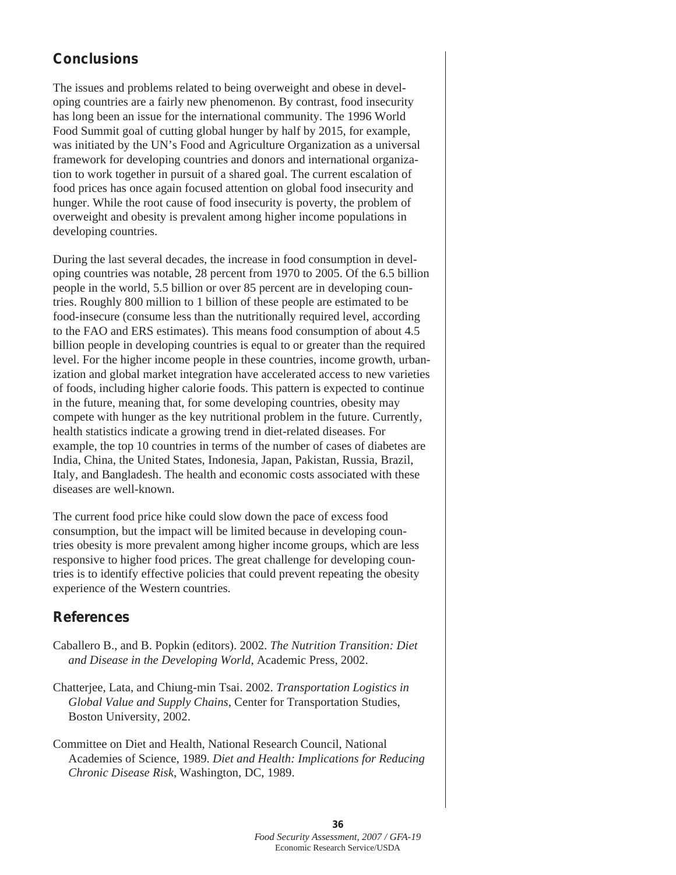## **Conclusions**

The issues and problems related to being overweight and obese in developing countries are a fairly new phenomenon. By contrast, food insecurity has long been an issue for the international community. The 1996 World Food Summit goal of cutting global hunger by half by 2015, for example, was initiated by the UN's Food and Agriculture Organization as a universal framework for developing countries and donors and international organization to work together in pursuit of a shared goal. The current escalation of food prices has once again focused attention on global food insecurity and hunger. While the root cause of food insecurity is poverty, the problem of overweight and obesity is prevalent among higher income populations in developing countries.

During the last several decades, the increase in food consumption in developing countries was notable, 28 percent from 1970 to 2005. Of the 6.5 billion people in the world, 5.5 billion or over 85 percent are in developing countries. Roughly 800 million to 1 billion of these people are estimated to be food-insecure (consume less than the nutritionally required level, according to the FAO and ERS estimates). This means food consumption of about 4.5 billion people in developing countries is equal to or greater than the required level. For the higher income people in these countries, income growth, urbanization and global market integration have accelerated access to new varieties of foods, including higher calorie foods. This pattern is expected to continue in the future, meaning that, for some developing countries, obesity may compete with hunger as the key nutritional problem in the future. Currently, health statistics indicate a growing trend in diet-related diseases. For example, the top 10 countries in terms of the number of cases of diabetes are India, China, the United States, Indonesia, Japan, Pakistan, Russia, Brazil, Italy, and Bangladesh. The health and economic costs associated with these diseases are well-known.

The current food price hike could slow down the pace of excess food consumption, but the impact will be limited because in developing countries obesity is more prevalent among higher income groups, which are less responsive to higher food prices. The great challenge for developing countries is to identify effective policies that could prevent repeating the obesity experience of the Western countries.

#### **References**

- Caballero B., and B. Popkin (editors). 2002. *The Nutrition Transition: Diet and Disease in the Developing World*, Academic Press, 2002.
- Chatterjee, Lata, and Chiung-min Tsai. 2002. *Transportation Logistics in Global Value and Supply Chains*, Center for Transportation Studies, Boston University, 2002.
- Committee on Diet and Health, National Research Council, National Academies of Science, 1989. *Diet and Health: Implications for Reducing Chronic Disease Risk*, Washington, DC, 1989.